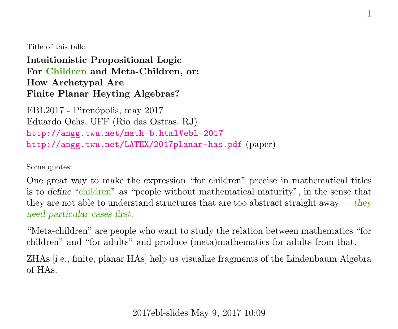Title of this talk:

Intuitionistic Propositional Logic For Children and Meta-Children, or: How Archetypal Are Finite Planar Heyting Algebras?

EBL2017 - Pirenópolis, may 2017 Eduardo Ochs, UFF (Rio das Ostras, RJ) <http://angg.twu.net/math-b.html#ebl-2017> <http://angg.twu.net/LATEX/2017planar-has.pdf> (paper)

Some quotes:

One great way to make the expression "for children" precise in mathematical titles is to define "children" as "people without mathematical maturity", in the sense that they are not able to understand structures that are too abstract straight away  $-$  they need particular cases first.

"Meta-children" are people who want to study the relation between mathematics "for children" and "for adults" and produce (meta)mathematics for adults from that.

ZHAs [i.e., finite, planar HAs] help us visualize fragments of the Lindenbaum Algebra of HAs.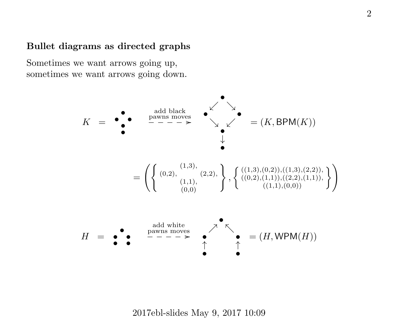### Bullet diagrams as directed graphs

Sometimes we want arrows going up, sometimes we want arrows going down.



2017ebl-slides May 9, 2017 10:09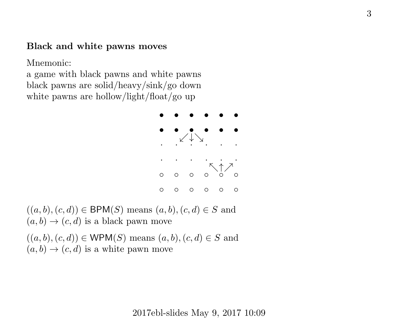#### Black and white pawns moves

Mnemonic:

a game with black pawns and white pawns black pawns are solid/heavy/sink/go down white pawns are hollow/light/float/go up



 $((a, b), (c, d)) \in \text{BPM}(S)$  means  $(a, b), (c, d) \in S$  and  $(a, b) \rightarrow (c, d)$  is a black pawn move

 $((a, b), (c, d)) \in \text{WPM}(S)$  means  $(a, b), (c, d) \in S$  and  $(a, b) \rightarrow (c, d)$  is a white pawn move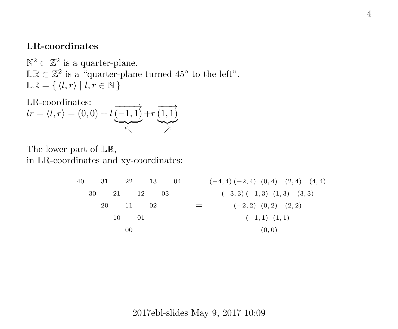#### LR-coordinates

 $\mathbb{N}^2 \subset \mathbb{Z}^2$  is a quarter-plane. LR ⊂  $\mathbb{Z}^2$  is a "quarter-plane turned 45° to the left".  $\mathbb{LR} = \{ \langle l, r \rangle \mid l, r \in \mathbb{N} \}$ 

LR-coordinates:  
\n
$$
lr = \langle l, r \rangle = (0, 0) + l \underbrace{\overline{(-1, 1)}}_{\nwarrow} + r \underbrace{\overline{(1, 1)}}_{\nearrow}
$$

The lower part of LR, in LR-coordinates and xy-coordinates:

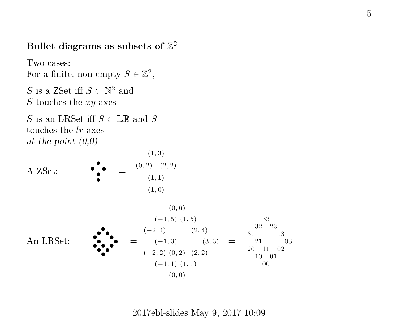# Bullet diagrams as subsets of  $\mathbb{Z}^2$

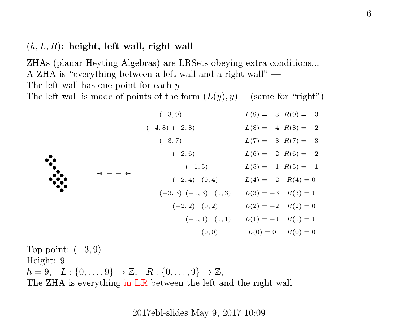## $(h, L, R)$ : height, left wall, right wall

ZHAs (planar Heyting Algebras) are LRSets obeying extra conditions... A ZHA is "everything between a left wall and a right wall" — The left wall has one point for each y The left wall is made of points of the form  $(L(y), y)$  (same for "right")

| $\ddot{\cdot}$ |                   | $(-3, 9)$                 | $L(9) = -3$ $R(9) = -3$ |  |
|----------------|-------------------|---------------------------|-------------------------|--|
|                | $\prec - - \succ$ | $(-4, 8)$ $(-2, 8)$       | $L(8) = -4$ $R(8) = -2$ |  |
|                |                   | $(-3, 7)$                 | $L(7) = -3$ $R(7) = -3$ |  |
|                |                   | $(-2, 6)$                 | $L(6) = -2 R(6) = -2$   |  |
|                |                   | $(-1, 5)$                 | $L(5) = -1$ $R(5) = -1$ |  |
|                |                   | $(-2, 4)$ $(0, 4)$        | $L(4) = -2$ $R(4) = 0$  |  |
|                |                   | $(-3,3)$ $(-1,3)$ $(1,3)$ | $L(3) = -3$ $R(3) = 1$  |  |
|                |                   | $(-2, 2)$ $(0, 2)$        | $L(2) = -2$ $R(2) = 0$  |  |
|                |                   | $(-1,1)$ $(1,1)$          | $L(1) = -1$ $R(1) = 1$  |  |
|                |                   | (0, 0)                    | $L(0) = 0$ $R(0) = 0$   |  |

Top point:  $(-3, 9)$ Height: 9  $h = 9, L: \{0, \ldots, 9\} \to \mathbb{Z}, R: \{0, \ldots, 9\} \to \mathbb{Z},$ The ZHA is everything in LR between the left and the right wall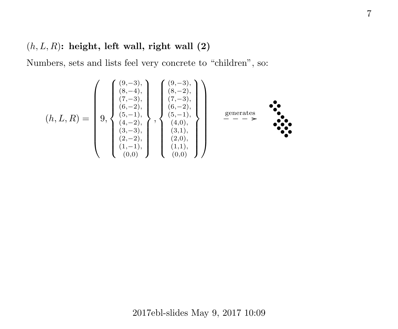## $(h, L, R)$ : height, left wall, right wall  $(2)$

Numbers, sets and lists feel very concrete to "children", so:

(h, L, R) = 9, (9,−3), (8,−4), (7,−3), (6,−2), (5,−1), (4,−2), (3,−3), (2,−2), (1,−1), (0,0) , (9,−3), (8,−2), (7,−3), (6,−2), (5,−1), (4,0), (3,1), (2,0), (1,1), (0,0) generates ❴❴❴❴ / • • • • • • • • • • • • • • • •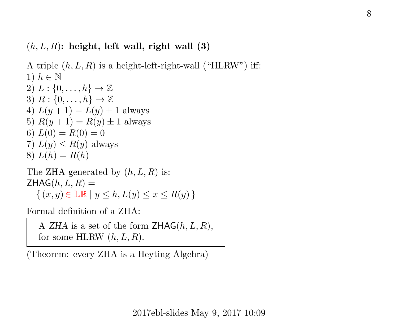## $(h, L, R)$ : height, left wall, right wall  $(3)$

A triple  $(h, L, R)$  is a height-left-right-wall ("HLRW") iff: 1)  $h \in \mathbb{N}$ 2)  $L: \{0, \ldots, h\} \rightarrow \mathbb{Z}$ 3)  $R: \{0, \ldots, h\} \rightarrow \mathbb{Z}$ 4)  $L(y + 1) = L(y) \pm 1$  always 5)  $R(y + 1) = R(y) \pm 1$  always 6)  $L(0) = R(0) = 0$ 7)  $L(y) \leq R(y)$  always 8)  $L(h) = R(h)$ The ZHA generated by  $(h, L, R)$  is:  $ZHAG(h, L, R) =$ 

 $\{(x, y) \in \mathbb{LR} \mid y \leq h, L(y) \leq x \leq R(y) \}$ 

Formal definition of a ZHA:

A ZHA is a set of the form  $\text{ZHAG}(h, L, R)$ , for some HLRW  $(h, L, R)$ .

(Theorem: every ZHA is a Heyting Algebra)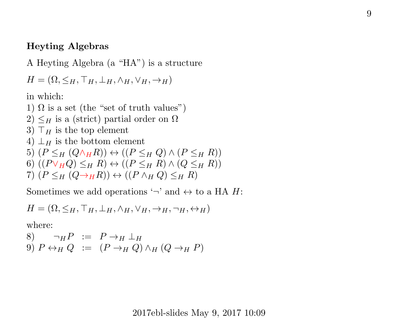### Heyting Algebras

A Heyting Algebra (a "HA") is a structure

$$
H = (\Omega, \leq_H, \top_H, \bot_H, \wedge_H, \vee_H, \rightarrow_H)
$$

in which:

1)  $\Omega$  is a set (the "set of truth values")

- 2)  $\leq_H$  is a (strict) partial order on  $\Omega$
- 3)  $\top_H$  is the top element
- 4)  $\perp_H$  is the bottom element
- 5)  $(P \leq_H (Q \wedge_H R)) \leftrightarrow ((P \leq_H Q) \wedge (P \leq_H R))$
- 6)  $((P\vee_H Q)\leq_H R)\leftrightarrow ((P\leq_H R)\wedge (Q\leq_H R))$
- 7)  $(P \leq_H (Q \rightarrow_H R)) \leftrightarrow ((P \wedge_H Q) \leq_H R)$

Sometimes we add operations  $\rightarrow$  and  $\leftrightarrow$  to a HA H:

$$
H = (\Omega, \leq_H, \top_H, \bot_H, \wedge_H, \vee_H, \rightarrow_H, \neg_H, \leftrightarrow_H)
$$

where:

8) 
$$
\neg_H P := P \rightarrow_H \perp_H
$$
  
9)  $P \leftrightarrow_H Q := (P \rightarrow_H Q) \land_H (Q \rightarrow_H P)$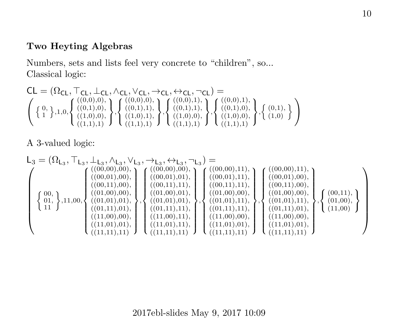## Two Heyting Algebras

Numbers, sets and lists feel very concrete to "children", so... Classical logic:

$$
\text{CL} = (\Omega_{\text{CL}}, \top_{\text{CL}}, \bot_{\text{CL}}, \wedge_{\text{CL}}, \vee_{\text{CL}}, \rightarrow_{\text{CL}}, \leftrightarrow_{\text{CL}}, \neg_{\text{CL}}) = \\ \left( \left\{ \begin{matrix} 0, 1, 0, 0 \\ 1 \end{matrix}, 1, 0, 0 \right\} \left( \begin{matrix} ((0,0),0), \\ ((0,1),0), \\ ((1,0),0), \\ ((1,1),1) \end{matrix} \right), \left\{ \begin{matrix} ((0,0),0), \\ ((0,1),1), \\ ((1,0),0), \\ ((1,1),1) \end{matrix} \right\} \left\{ \begin{matrix} ((0,0),1), \\ ((0,1),1), \\ ((1,0),0), \\ ((1,1),1) \end{matrix} \right\}, \left\{ \begin{matrix} ((0,1),0), \\ ((1,0),0), \\ ((1,1),1) \end{matrix} \right\} \left\}
$$

A 3-valued logic:

$$
\begin{split} \mathsf{L}_3 = (\Omega_{\mathsf{L}_3},\top_{\mathsf{L}_3},\bot_{\mathsf{L}_3},\wedge_{\mathsf{L}_3},\vee_{\mathsf{L}_3},\rightarrow_{\mathsf{L}_3},\leftrightarrow_{\mathsf{L}_3},\mathsf{L}_3) = \\ & \left\{ \begin{gathered} ((00,00),00), \\ ((00,01),00), \\ ((00,11),00), \\ (11, \\ 11, \\ \end{gathered} \right\} \left\{ \begin{gathered} ((00,00),00), \\ ((00,01),00), \\ ((01,00),00), \\ ((01,00),00), \\ ((01,01),01), \\ ((11,00),00), \\ ((11,00),00), \\ ((11,01),11), \\ ((11,01),11), \\ ((11,01),11), \\ ((11,01),11), \\ ((11,01),11), \\ ((11,01),11), \\ ((11,01),11), \\ ((11,01),11), \\ ((11,01),11), \\ ((11,01),11), \\ ((11,01),01), \\ ((11,01),11), \\ ((11,01),01), \\ ((11,01),11), \\ ((11,01),01), \\ ((11,01),11), \\ ((11,01),01), \\ ((11,01),11), \\ ((11,01),01), \\ ((11,01),11), \\ ((11,01),01), \\ ((11,01),11), \\ ((11,01),11) \end{gathered} \right\} \times \begin{gathered} \mathsf{L}((00,00),11), \\ ((00,00),11), \\ ((00,01),00), \\ ((00,11),00), \\ ((00,11),11), \\ ((01,01),11), \\ ((11,00),00), \\ ((11,00),00), \\ ((11,01),11), \\ ((11,01),01), \\ ((11,01),11) \end{gathered} \right\} \times \begin{gathered}
$$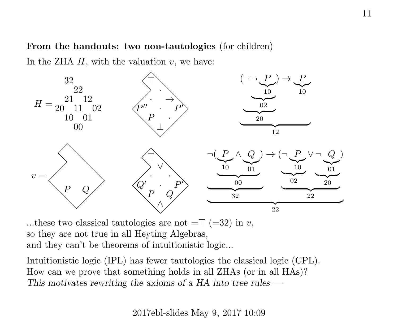#### From the handouts: two non-tautologies (for children)

In the ZHA  $H$ , with the valuation  $v$ , we have:



...these two classical tautologies are not  $=T$  (=32) in v, so they are not true in all Heyting Algebras, and they can't be theorems of intuitionistic logic...

Intuitionistic logic (IPL) has fewer tautologies the classical logic (CPL). How can we prove that something holds in all ZHAs (or in all HAs)? This motivates rewriting the axioms of a HA into tree rules  $-$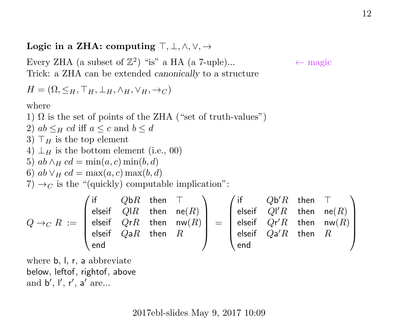## Logic in a ZHA: computing  $\top, \bot, \wedge, \vee, \rightarrow$

Every ZHA (a subset of  $\mathbb{Z}^2$ ) "is" a HA (a 7-uple)...  $\leftarrow$  magic Trick: a ZHA can be extended canonically to a structure

$$
H = (\Omega, \leq_H, \top_H, \bot_H, \wedge_H, \vee_H, \rightarrow_C)
$$

where

1)  $\Omega$  is the set of points of the ZHA ("set of truth-values")

2)  $ab \leq_H cd$  iff  $a \leq c$  and  $b \leq d$ 

3)  $\top_H$  is the top element

4) 
$$
\perp_H
$$
 is the bottom element (i.e., 00)

5) 
$$
ab \wedge_H cd = \min(a, c) \min(b, d)
$$

6)  $ab \vee_H cd = \max(a, c) \max(b, d)$ 

7)  $\rightarrow_C$  is the "(quickly) computable implication":

$$
Q \rightarrow_C R \; := \; \left( \begin{array}{cccc} \text{if} & Q \text{b}R & \text{then} & \top \\ \text{elseif} & Q \text{l}R & \text{then} & \text{ne}(R) \\ \text{elseif} & Q \text{r}R & \text{then} & \text{nw}(R) \\ \text{elseif} & Q \text{a}R & \text{then} & R \end{array} \right) \; = \; \left( \begin{array}{cccc} \text{if} & Q \text{b}'R & \text{then} & \top \\ \text{elseif} & Q \text{l}'R & \text{then} & \text{ne}(R) \\ \text{elseif} & Q \text{r}'R & \text{then} & \text{nw}(R) \\ \text{elseif} & Q \text{a}'R & \text{then} & R \\ \text{end} \end{array} \right)
$$

where b, l, r, a abbreviate below, leftof, rightof, above and  $b', I', r', a'$  are...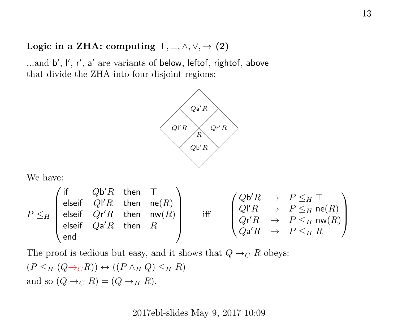## Logic in a ZHA: computing  $\top, \bot, \wedge, \vee, \rightarrow (2)$

...and b', l', r', a' are variants of below, leftof, rightof, above that divide the ZHA into four disjoint regions:



We have:

$$
P \leq_H \begin{pmatrix} \text{if} & Q\mathfrak{b}'R & \text{then} & \top \\ \text{elseif} & Q\mathfrak{l}'R & \text{then} & \text{ne}(R) \\ \text{elseif} & Q\mathfrak{r}'R & \text{then} & \text{nw}(R) \\ \text{elseif} & Q\mathfrak{a}'R & \text{then} & R \end{pmatrix} \quad \text{ iff } \quad \begin{pmatrix} Q\mathfrak{b}'R & \rightarrow & P \leq_H \top \\ Q\mathfrak{l}'R & \rightarrow & P \leq_H \text{ne}(R) \\ Q\mathfrak{r}'R & \rightarrow & P \leq_H \text{nw}(R) \\ Q\mathfrak{a}'R & \rightarrow & P \leq_H R \end{pmatrix}
$$

The proof is tedious but easy, and it shows that  $Q \rightarrow_C R$  obeys:

$$
(P \leq_H (Q \to_C R)) \leftrightarrow ((P \land_H Q) \leq_H R)
$$
  
and so  $(Q \to_C R) = (Q \to_H R)$ .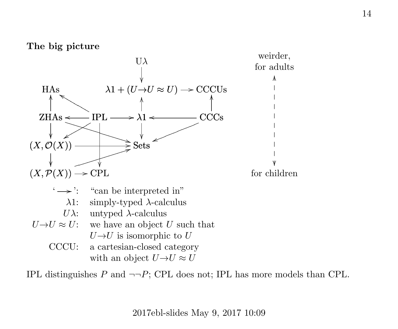The big picture



IPL distinguishes P and  $\neg\neg P$ ; CPL does not; IPL has more models than CPL.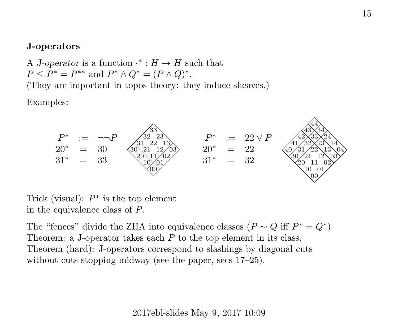## J-operators

A J-operator is a function  $\cdot^* : H \to H$  such that  $P \le P^* = P^{**}$  and  $P^* \wedge Q^* = (P \wedge Q)^*$ . (They are important in topos theory: they induce sheaves.)

Examples:



Trick (visual):  $P^*$  is the top element in the equivalence class of P.

The "fences" divide the ZHA into equivalence classes  $(P \sim Q \text{ iff } P^* = Q^*)$ Theorem: a J-operator takes each  $P$  to the top element in its class. Theorem (hard): J-operators correspond to slashings by diagonal cuts without cuts stopping midway (see the paper, secs 17–25).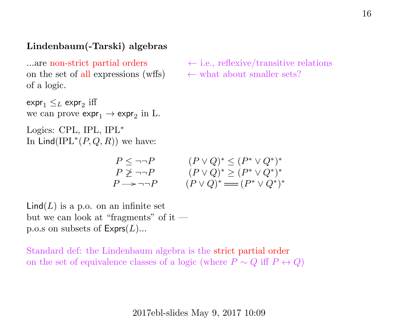## Lindenbaum(-Tarski) algebras

…are non-strict partial orders on the set of all expressions (wffs) of a logic.

 $\exp r_1 \leq_L \exp r_2$  iff we can prove  $\exp r_1 \to \exp r_2$  in L.

Logics: CPL, IPL, IPL<sup>∗</sup> In  $\text{Lind}(\text{IPL}^*(P,Q,R))$  we have:

$$
\leftarrow
$$
 i.e., reflexive/transitive relations  

$$
\leftarrow
$$
 what about smaller sets?

$$
P \leq \neg \neg P
$$
  
\n
$$
P \not\geq \neg \neg P
$$
  
\n
$$
P \neg P
$$
  
\n
$$
(P \lor Q)^* \geq (P^* \lor Q^*)^*
$$
  
\n
$$
P \rightarrow \neg \neg P
$$
  
\n
$$
(P \lor Q)^* \geq (P^* \lor Q^*)^*
$$
  
\n
$$
(P \lor Q)^* \equiv (P^* \lor Q^*)^*
$$

 $\textsf{Lind}(L)$  is a p.o. on an infinite set but we can look at "fragments" of it p.o.s on subsets of  $\mathsf{Express}(L)$ ...

Standard def: the Lindenbaum algebra is the strict partial order on the set of equivalence classes of a logic (where  $P \sim Q$  iff  $P \leftrightarrow Q$ )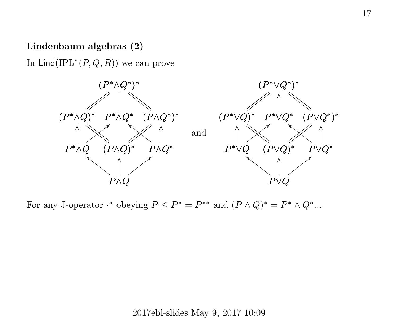## Lindenbaum algebras (2)

In  $\text{Lind}(\text{IPL}^*(P,Q,R))$  we can prove



For any J-operator  $\cdot^*$  obeying  $P \le P^* = P^{**}$  and  $(P \wedge Q)^* = P^* \wedge Q^*$ ...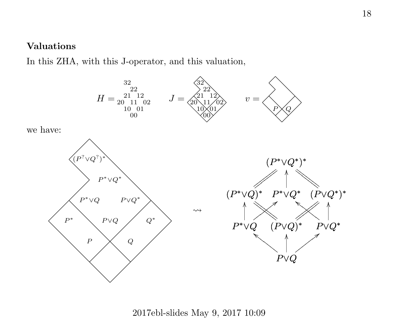## Valuations

In this ZHA, with this J-operator, and this valuation,



2017ebl-slides May 9, 2017 10:09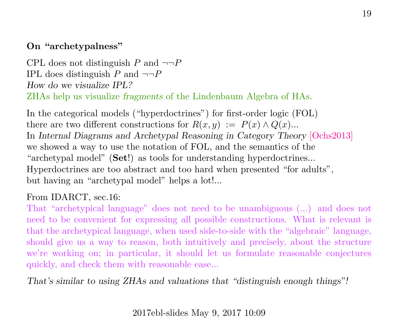## On "archetypalness"

CPL does not distinguish P and  $\neg\neg P$ IPL does distinguish P and  $\neg\neg P$ How do we visualize IPL? ZHAs help us visualize fragments of the Lindenbaum Algebra of HAs.

In the categorical models ("hyperdoctrines") for first-order logic (FOL) there are two different constructions for  $R(x, y) := P(x) \wedge Q(x)$ ... In Internal Diagrams and Archetypal Reasoning in Category Theory [\[Ochs2013\]](http://angg.twu.net/math-b.html#idarct) we showed a way to use the notation of FOL, and the semantics of the "archetypal model" (Set!) as tools for understanding hyperdoctrines... Hyperdoctrines are too abstract and too hard when presented "for adults", but having an "archetypal model" helps a lot!...

## From IDARCT, sec.16:

That "archetypical language" does not need to be unambiguous (...) and does not need to be convenient for expressing all possible constructions. What is relevant is that the archetypical language, when used side-to-side with the "algebraic" language, should give us a way to reason, both intuitively and precisely, about the structure we're working on; in particular, it should let us formulate reasonable conjectures quickly, and check them with reasonable ease...

That's similar to using ZHAs and valuations that "distinguish enough things"!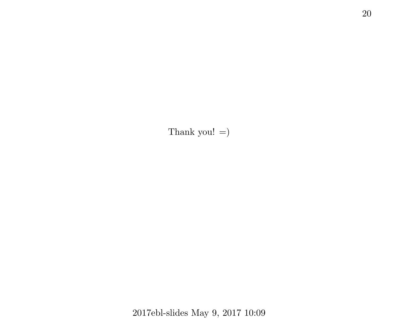Thank you!  $=$ )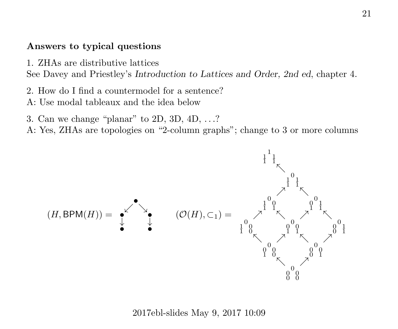## Answers to typical questions

1. ZHAs are distributive lattices

See Davey and Priestley's Introduction to Lattices and Order, 2nd ed, chapter 4.

- 2. How do I find a countermodel for a sentence?
- A: Use modal tableaux and the idea below
- 3. Can we change "planar" to 2D, 3D, 4D, . . .?
- A: Yes, ZHAs are topologies on "2-column graphs"; change to 3 or more columns

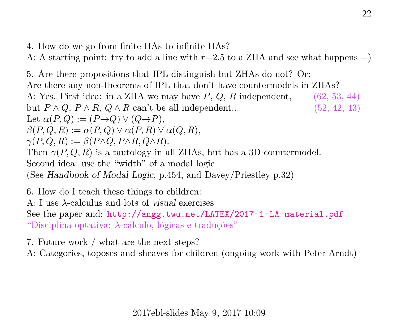4. How do we go from finite HAs to infinite HAs?

A: A starting point: try to add a line with  $r=2.5$  to a ZHA and see what happens  $=$ )

5. Are there propositions that IPL distinguish but ZHAs do not? Or: Are there any non-theorems of IPL that don't have countermodels in ZHAs? A: Yes. First idea: in a ZHA we may have  $P$ ,  $Q$ ,  $R$  independent, (62, 53, 44) but  $P \wedge Q$ ,  $P \wedge R$ ,  $Q \wedge R$  can't be all independent... (52, 42, 43) Let  $\alpha(P,Q) := (P \rightarrow Q) \vee (Q \rightarrow P)$ ,  $\beta(P,Q,R) := \alpha(P,Q) \vee \alpha(P,R) \vee \alpha(Q,R),$  $\gamma(P, Q, R) := \beta(P \wedge Q, P \wedge R, Q \wedge R).$ Then  $\gamma(P,Q,R)$  is a tautology in all ZHAs, but has a 3D countermodel. Second idea: use the "width" of a modal logic (See Handbook of Modal Logic, p.454, and Davey/Priestley p.32)

6. How do I teach these things to children: A: I use λ-calculus and lots of visual exercises See the paper and: <http://angg.twu.net/LATEX/2017-1-LA-material.pdf> "Disciplina optativa:  $\lambda$ -cálculo, lógicas e traduções"

7. Future work / what are the next steps?

A: Categories, toposes and sheaves for children (ongoing work with Peter Arndt)